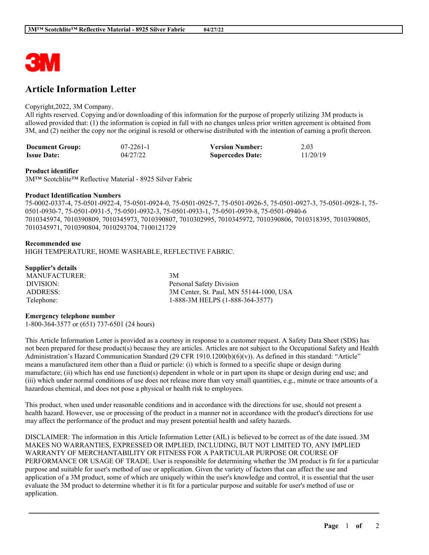

# **Article Information Letter**

# Copyright,2022, 3M Company.

All rights reserved. Copying and/or downloading of this information for the purpose of properly utilizing 3M products is allowed provided that: (1) the information is copied in full with no changes unless prior written agreement is obtained from 3M, and (2) neither the copy nor the original is resold or otherwise distributed with the intention of earning a profit thereon.

| <b>Document Group:</b> | $07 - 2261 - 1$ | <b>Version Number:</b>  | 2.03     |
|------------------------|-----------------|-------------------------|----------|
| <b>Issue Date:</b>     | 04/27/22        | <b>Supercedes Date:</b> | 11/20/19 |

#### **Product identifier**

3M™ Scotchlite™ Reflective Material - 8925 Silver Fabric

## **Product Identification Numbers**

75-0002-0337-4, 75-0501-0922-4, 75-0501-0924-0, 75-0501-0925-7, 75-0501-0926-5, 75-0501-0927-3, 75-0501-0928-1, 75- 0501-0930-7, 75-0501-0931-5, 75-0501-0932-3, 75-0501-0933-1, 75-0501-0939-8, 75-0501-0940-6 7010345974, 7010390809, 7010345973, 7010390807, 7010302995, 7010345972, 7010390806, 7010318395, 7010390805, 7010345971, 7010390804, 7010293704, 7100121729

## **Recommended use**

HIGH TEMPERATURE, HOME WASHABLE, REFLECTIVE FABRIC.

# **Supplier's details**

MANUFACTURER: 3M DIVISION: Personal Safety Division ADDRESS: 3M Center, St. Paul, MN 55144-1000, USA Telephone: 1-888-3M HELPS (1-888-364-3577)

#### **Emergency telephone number**

1-800-364-3577 or (651) 737-6501 (24 hours)

This Article Information Letter is provided as a courtesy in response to a customer request. A Safety Data Sheet (SDS) has not been prepared for these product(s) because they are articles. Articles are not subject to the Occupational Safety and Health Administration's Hazard Communication Standard (29 CFR 1910.1200(b)(6)(v)). As defined in this standard: "Article" means a manufactured item other than a fluid or particle: (i) which is formed to a specific shape or design during manufacture; (ii) which has end use function(s) dependent in whole or in part upon its shape or design during end use; and (iii) which under normal conditions of use does not release more than very small quantities, e.g., minute or trace amounts of a hazardous chemical, and does not pose a physical or health risk to employees.

This product, when used under reasonable conditions and in accordance with the directions for use, should not present a health hazard. However, use or processing of the product in a manner not in accordance with the product's directions for use may affect the performance of the product and may present potential health and safety hazards.

DISCLAIMER: The information in this Article Information Letter (AIL) is believed to be correct as of the date issued. 3M MAKES NO WARRANTIES, EXPRESSED OR IMPLIED, INCLUDING, BUT NOT LIMITED TO, ANY IMPLIED WARRANTY OF MERCHANTABILITY OR FITNESS FOR A PARTICULAR PURPOSE OR COURSE OF PERFORMANCE OR USAGE OF TRADE. User is responsible for determining whether the 3M product is fit for a particular purpose and suitable for user's method of use or application. Given the variety of factors that can affect the use and application of a 3M product, some of which are uniquely within the user's knowledge and control, it is essential that the user evaluate the 3M product to determine whether it is fit for a particular purpose and suitable for user's method of use or application.

\_\_\_\_\_\_\_\_\_\_\_\_\_\_\_\_\_\_\_\_\_\_\_\_\_\_\_\_\_\_\_\_\_\_\_\_\_\_\_\_\_\_\_\_\_\_\_\_\_\_\_\_\_\_\_\_\_\_\_\_\_\_\_\_\_\_\_\_\_\_\_\_\_\_\_\_\_\_\_\_\_\_\_\_\_\_\_\_\_\_